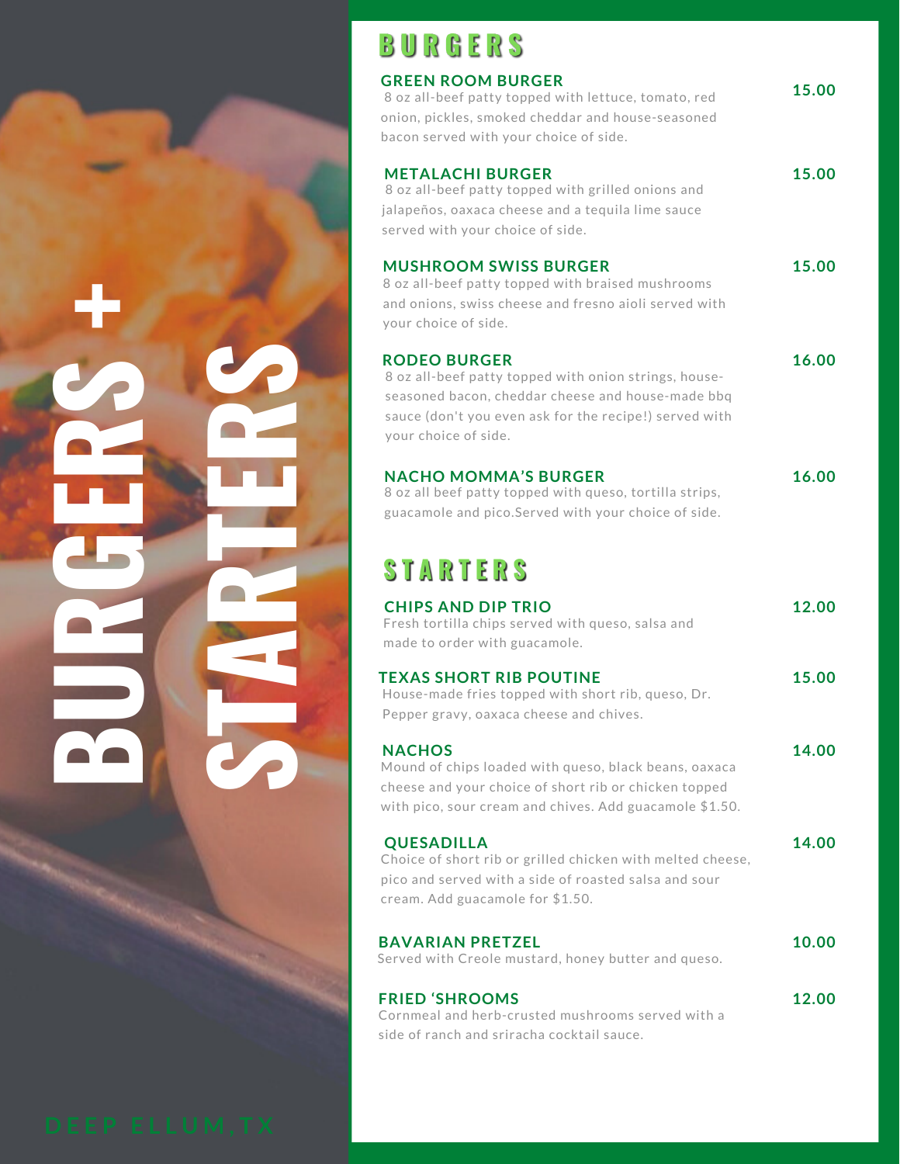# **UR GERS+ST ART ERS**

# BURGERS

| <b>GREEN ROOM BURGER</b>                                                                                  | 15.00 |
|-----------------------------------------------------------------------------------------------------------|-------|
| 8 oz all-beef patty topped with lettuce, tomato, red<br>onion, pickles, smoked cheddar and house-seasoned |       |
| bacon served with your choice of side.                                                                    |       |
|                                                                                                           |       |
| <b>METALACHI BURGER</b>                                                                                   | 15.00 |
| 8 oz all-beef patty topped with grilled onions and                                                        |       |
| jalapeños, oaxaca cheese and a tequila lime sauce                                                         |       |
| served with your choice of side.                                                                          |       |
| <b>MUSHROOM SWISS BURGER</b>                                                                              | 15.00 |
| 8 oz all-beef patty topped with braised mushrooms                                                         |       |
| and onions, swiss cheese and fresno aioli served with                                                     |       |
| your choice of side.                                                                                      |       |
| <b>RODEO BURGER</b>                                                                                       | 16.00 |
| 8 oz all-beef patty topped with onion strings, house-                                                     |       |
| seasoned bacon, cheddar cheese and house-made bbq                                                         |       |
| sauce (don't you even ask for the recipe!) served with                                                    |       |
| your choice of side.                                                                                      |       |
|                                                                                                           |       |
| <b>NACHO MOMMA'S BURGER</b>                                                                               | 16.00 |
| 8 oz all beef patty topped with queso, tortilla strips,                                                   |       |
| guacamole and pico.Served with your choice of side.                                                       |       |
|                                                                                                           |       |
| <b>STARTERS</b>                                                                                           |       |
|                                                                                                           |       |
| <b>CHIPS AND DIP TRIO</b>                                                                                 | 12.00 |
| Fresh tortilla chips served with queso, salsa and                                                         |       |
| made to order with guacamole.                                                                             |       |
| <b>TEXAS SHORT RIB POUTINE</b>                                                                            | 15.00 |
| House-made fries topped with short rib, queso, Dr.                                                        |       |
| Pepper gravy, oaxaca cheese and chives.                                                                   |       |
|                                                                                                           |       |
| <b>NACHOS</b><br>Mound of chips loaded with queso, black beans, oaxaca                                    | 14.00 |
| cheese and your choice of short rib or chicken topped                                                     |       |
| with pico, sour cream and chives. Add guacamole \$1.50.                                                   |       |
|                                                                                                           |       |
| <b>QUESADILLA</b>                                                                                         | 14.00 |
| Choice of short rib or grilled chicken with melted cheese,                                                |       |
| pico and served with a side of roasted salsa and sour                                                     |       |
| cream. Add guacamole for \$1.50.                                                                          |       |
|                                                                                                           |       |
| <b>BAVARIAN PRETZEL</b><br>Served with Creole mustard, honey butter and queso.                            | 10.00 |
|                                                                                                           |       |
| <b>FRIED 'SHROOMS</b>                                                                                     | 12.00 |
| Cornmeal and herb-crusted mushrooms served with a                                                         |       |
|                                                                                                           |       |

side of ranch and sriracha cocktail sauce.